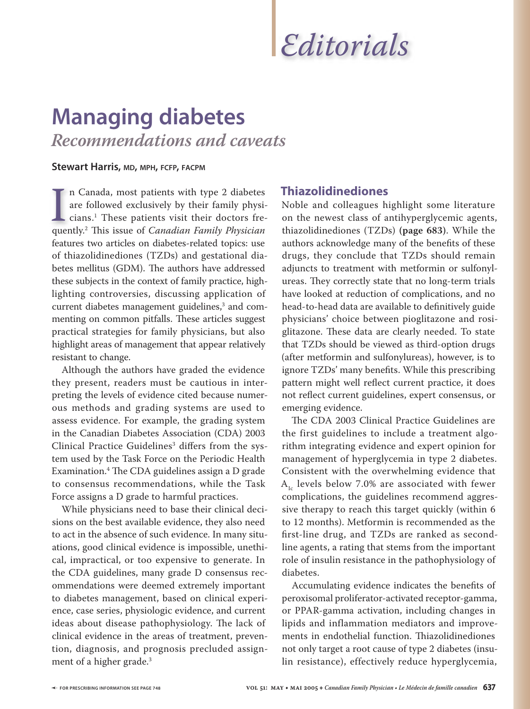# *Editorials*

# **Managing diabetes** *Recommendations and caveats*

#### **Stewart Harris, MD, MPH, FCFP, FACPM**

In Canada, most patients with type 2 diabetes<br>are followed exclusively by their family physi<br>cians.<sup>1</sup> These patients visit their doctors fre<br>quently.<sup>2</sup> This issue of *Canadian Family Physician* n Canada, most patients with type 2 diabetes are followed exclusively by their family physicians.1 These patients visit their doctors frefeatures two articles on diabetes-related topics: use of thiazolidinediones (TZDs) and gestational diabetes mellitus (GDM). The authors have addressed these subjects in the context of family practice, highlighting controversies, discussing application of current diabetes management guidelines,<sup>3</sup> and commenting on common pitfalls. These articles suggest practical strategies for family physicians, but also highlight areas of management that appear relatively resistant to change.

Although the authors have graded the evidence they present, readers must be cautious in interpreting the levels of evidence cited because numerous methods and grading systems are used to assess evidence. For example, the grading system in the Canadian Diabetes Association (CDA) 2003 Clinical Practice Guidelines<sup>3</sup> differs from the system used by the Task Force on the Periodic Health Examination.<sup>4</sup> The CDA guidelines assign a D grade to consensus recommendations, while the Task Force assigns a D grade to harmful practices.

While physicians need to base their clinical decisions on the best available evidence, they also need to act in the absence of such evidence. In many situations, good clinical evidence is impossible, unethical, impractical, or too expensive to generate. In the CDA guidelines, many grade D consensus recommendations were deemed extremely important to diabetes management, based on clinical experience, case series, physiologic evidence, and current ideas about disease pathophysiology. The lack of clinical evidence in the areas of treatment, prevention, diagnosis, and prognosis precluded assignment of a higher grade.3

# **Thiazolidinediones**

Noble and colleagues highlight some literature on the newest class of antihyperglycemic agents, thiazo lidinediones (TZDs) **(page 683)**. While the authors acknowledge many of the benefits of these drugs, they conclude that TZDs should remain adjuncts to treatment with metformin or sulfonylureas. They correctly state that no long-term trials have looked at reduction of complications, and no head-to-head data are available to definitively guide physicians' choice between pioglitazone and rosiglitazone. These data are clearly needed. To state that TZDs should be viewed as third-option drugs (after metformin and sulfonylureas), however, is to ignore TZDs' many benefits. While this prescribing pattern might well reflect current practice, it does not reflect current guidelines, expert consensus, or emerging evidence.

The CDA 2003 Clinical Practice Guidelines are the first guidelines to include a treatment algorithm integrating evidence and expert opinion for management of hyperglycemia in type 2 diabetes. Consistent with the overwhelming evidence that  $A<sub>1c</sub>$  levels below 7.0% are associated with fewer complications, the guidelines recommend aggressive therapy to reach this target quickly (within 6 to 12 months). Metformin is recommended as the first-line drug, and TZDs are ranked as secondline agents, a rating that stems from the important role of insulin resistance in the pathophysiology of diabetes.

Accumulating evidence indicates the benefits of peroxisomal proliferator-activated receptor-gamma, or PPAR-gamma activation, including changes in lipids and inflammation mediators and improvements in endothelial function. Thiazolidinediones not only target a root cause of type 2 diabetes (insulin resistance), effectively reduce hyperglycemia,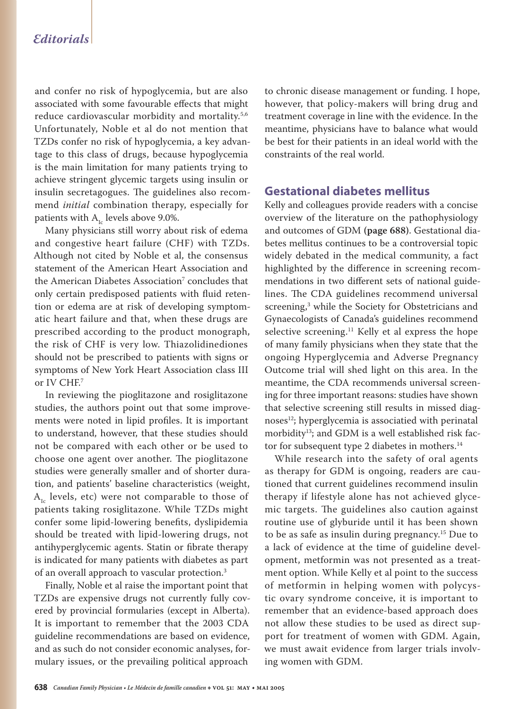#### *Editorials*

and confer no risk of hypoglycemia, but are also associated with some favourable effects that might reduce cardiovascular morbidity and mortality.<sup>5,6</sup> Unfortunately, Noble et al do not mention that TZDs confer no risk of hypoglycemia, a key advantage to this class of drugs, because hypoglycemia is the main limitation for many patients trying to achieve stringent glycemic targets using insulin or insulin secretagogues. The guidelines also recommend *initial* combination therapy, especially for patients with  $A<sub>1c</sub>$  levels above 9.0%.

Many physicians still worry about risk of edema and congestive heart failure (CHF) with TZDs. Although not cited by Noble et al, the consensus statement of the American Heart Association and the American Diabetes Association<sup>7</sup> concludes that only certain predisposed patients with fluid retention or edema are at risk of developing symptomatic heart failure and that, when these drugs are prescribed according to the product monograph, the risk of CHF is very low. Thiazolidinediones should not be prescribed to patients with signs or symptoms of New York Heart Association class III or IV CHF.<sup>7</sup>

In reviewing the pioglitazone and rosiglitazone studies, the authors point out that some improvements were noted in lipid profiles. It is important to understand, however, that these studies should not be compared with each other or be used to choose one agent over another. The pioglitazone studies were generally smaller and of shorter duration, and patients' baseline characteristics (weight,  $A_{i c}$  levels, etc) were not comparable to those of patients taking rosiglitazone. While TZDs might confer some lipid-lowering benefits, dyslipidemia should be treated with lipid-lowering drugs, not antihyperglycemic agents. Statin or fibrate therapy is indicated for many patients with diabetes as part of an overall approach to vascular protection.3

Finally, Noble et al raise the important point that TZDs are expensive drugs not currently fully covered by provincial formularies (except in Alberta). It is important to remember that the 2003 CDA guideline recommendations are based on evidence, and as such do not consider economic analyses, formulary issues, or the prevailing political approach

to chronic disease management or funding. I hope, however, that policy-makers will bring drug and treatment coverage in line with the evidence. In the meantime, physicians have to balance what would be best for their patients in an ideal world with the constraints of the real world.

# **Gestational diabetes mellitus**

Kelly and colleagues provide readers with a concise overview of the literature on the pathophysiology and outcomes of GDM **(page 688)**. Gestational diabetes mellitus continues to be a controversial topic widely debated in the medical community, a fact highlighted by the difference in screening recommendations in two different sets of national guidelines. The CDA guidelines recommend universal screening,3 while the Society for Obstetricians and Gynaecologists of Canada's guidelines recommend selective screening.<sup>11</sup> Kelly et al express the hope of many family physicians when they state that the ongoing Hyperglycemia and Adverse Pregnancy Outcome trial will shed light on this area. In the meantime, the CDA recommends universal screening for three important reasons: studies have shown that selective screening still results in missed diagnoses<sup>12</sup>; hyperglycemia is associatied with perinatal morbidity<sup>13</sup>; and GDM is a well established risk factor for subsequent type 2 diabetes in mothers.<sup>14</sup>

While research into the safety of oral agents as therapy for GDM is ongoing, readers are cautioned that current guidelines recommend insulin therapy if lifestyle alone has not achieved glycemic targets. The guidelines also caution against routine use of glyburide until it has been shown to be as safe as insulin during pregnancy.15 Due to a lack of evidence at the time of guideline development, metformin was not presented as a treatment option. While Kelly et al point to the success of metformin in helping women with polycystic ovary syndrome conceive, it is important to remember that an evidence-based approach does not allow these studies to be used as direct support for treatment of women with GDM. Again, we must await evidence from larger trials involving women with GDM.